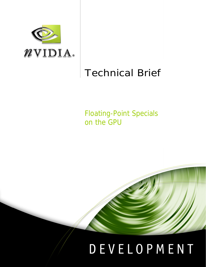

# Technical Brief

Floating-Point Specials on the GPU

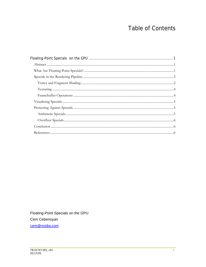# **Table of Contents**

Floating-Point Specials on the GPU Cem Cebenoyan cem@nvidia.com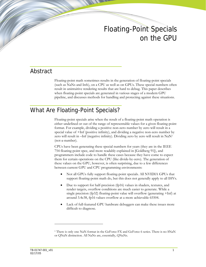# Floating-Point Specials on the GPU

# <span id="page-2-0"></span>Abstract

Floating-point math sometimes results in the generation of floating-point specials (such as NaNs and Infs), on a CPU as well as on GPUs. These special numbers often result in unintuitive rendering results that are hard to debug. This paper describes when floating-point specials are generated in various stages of a modern GPU pipeline, and discusses methods for handling and protecting against these situations.

# What Are Floating-Point Specials?

Floating-point specials arise when the result of a floating-point math operation is either undefined or out of the range of representable values for a given floating-point format. For example, dividing a positive non-zero number by zero will result in a special value of +Inf (positive infinity), and dividing a negative non-zero number by zero will result in  $-\text{Inf}$  (negative infinity). Dividing zero by zero will result in  $\text{Na} \text{N}^1$  $\text{Na} \text{N}^1$ (not-a-number).

CPUs have been generating these special numbers for years (they are in the IEEE 754 floating-point spec, and more readably explained in [Goldberg 91]), and programmers include code to handle these cases because they have come to expect them for certain operations on the CPU (like divide-by-zero). The generation of these values on the GPU, however, is often surprising, due to a few differences between current GPU and CPU programming environments:

- Not all GPUs fully support floating-point specials. All NVIDIA GPUs that support floating-point math do, but this does not generally apply to all IHVs.
- Due to support for half-precision (fp16) values in shaders, textures, and render targets, overflow conditions are much easier to generate. While a single precision (fp32) floating-point value will overflow (generating +Inf) at around 3.4e38, fp16 values overflow at a more achievable 65504.
- Lack of full-featured GPU hardware debuggers can make these issues more difficult to diagnose.

-

<span id="page-2-1"></span><sup>1</sup> There is only one NaN format in the GeForce FX and GeForce 6 series. There is no SNaN or QNaN distinction. All NaNs are, essentially, QNaNs.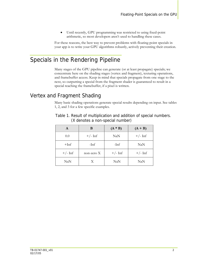• Until recently, GPU programming was restricted to using fixed-point arithmetic, so most developers aren't used to handling these cases.

For these reasons, the best way to prevent problems with floating-point specials in your app is to write your GPU algorithms robustly, actively preventing their creation.

# <span id="page-3-0"></span>Specials in the Rendering Pipeline

Many stages of the GPU pipeline can generate (or at least propagate) specials; we concentrate here on the shading stages (vertex and fragment), texturing operations, and framebuffer access. Keep in mind that specials propagate from one stage to the next, so outputting a special from the fragment shader is guaranteed to result in a special reaching the framebuffer, if a pixel is written.

#### Vertex and Fragment Shading

Many basic shading operations generate special results depending on input. See tables 1, 2, and 3 for a few specific examples.

| A         | B          | $(A * B)$ | $(A + B)$  |
|-----------|------------|-----------|------------|
| 0.0       | $+/-$ Inf  | NaN       | $+/-$ Inf  |
| $+Inf$    | $-Inf$     | $-Inf$    | <b>NaN</b> |
| $+/-$ Inf | non-zero X | $+/-$ Inf | $+/-$ Inf  |
| NaN       | X          | NaN       | NaN        |

Table 1. Result of multiplication and addition of special numbers. (X denotes a non-special number)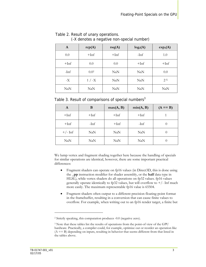| $\mathbf{A}$ | rcp(A)   | rsq(A)     | log <sub>2</sub> (A) | exp <sub>2</sub> (A) |
|--------------|----------|------------|----------------------|----------------------|
| 0.0          | $+Inf$   | $+Inf$     | $-Inf$               | 1.0                  |
| $+Inf$       | 0.0      | 0.0        | $+Inf$               | $+Inf$               |
| -Inf         | 0.02     | <b>NaN</b> | <b>NaN</b>           | 0.0                  |
| $-X$         | $1 / -X$ | <b>NaN</b> | <b>NaN</b>           | $2-X$                |
| NaN          | NaN      | NaN        | NaN                  | NaN                  |

Table 2. Result of unary operations. (-X denotes a negative non-special number)

Table [3](#page-4-1). Result of comparisons of special numbers<sup>3</sup>

| A          | В          | max(A, B)  | min(A, B)  | $(A == B)$ |
|------------|------------|------------|------------|------------|
| $+Inf$     | $+Inf$     | $+Inf$     | $+Inf$     |            |
| $+Inf$     | $-Inf$     | $+Inf$     | -Inf       |            |
| $+/-$ Inf  | <b>NaN</b> | <b>NaN</b> | <b>NaN</b> | O          |
| <b>NaN</b> | <b>NaN</b> | <b>NaN</b> | <b>NaN</b> |            |

We lump vertex and fragment shading together here because the handling of specials for similar operations are identical, however, there are some important practical differences:

- Fragment shaders can operate on fp16 values (in Direct3D, this is done using the **\_pp** instruction modifier for shader assembly, or the **half** data type in HLSL), while vertex shaders do all operations on fp32 values. fp16 values generally operate identically to fp32 values, but will overflow to  $+/-$  Inf much more easily. The maximum representable fp16 value is 65504.
- Fragment shaders often output to a different precision floating-point format in the framebuffer, resulting in a conversion that can cause finite values to overflow. For example, when writing out to an fp16 render target, a finite but

<u>.</u>

<span id="page-4-0"></span><sup>2</sup> Strictly speaking, this computation produces -0.0 (negative zero).

<span id="page-4-1"></span><sup>3</sup> Note that these tables list the results of operations from the point-of view of the GPU hardware. Practically, a compiler could, for example, optimize out or reorder an operation like (A == B) depending on inputs, resulting in behavior that seems different from that listed in the tables above.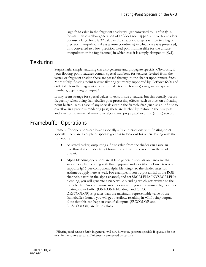large fp32 value in the fragment shader will get converted to +Inf in fp16 format. This overflow generation of Inf does not happen with vertex shaders because a large finite fp32 value in the shader either gets written to a highprecision interpolator (like a texture coordinate) in which case it is preserved, or is converted to a low-precision fixed-point format (like for the diffuse interpolator or the fog distance) in which case it is simply clamped to [0..1].

### <span id="page-5-0"></span>**Texturing**

Surprisingly, simple texturing can also generate and propagate specials. Obviously, if your floating-point textures contain special numbers, for textures fetched from the vertex or fragment shader, these are passed through to the shader upon texture fetch. More subtly, floating-point texture filtering (currently supported by GeForce 6800 and 6600 GPUs in the fragment shader for fp16 texture formats) can generate special numbers, depending on input[.4](#page-5-1)

It may seem strange for special values to exist inside a texture, but this actually occurs frequently when doing framebuffer post-processing effects, such as blur, on a floatingpoint buffer. In this case, if any specials exist in the framebuffer (such as an Inf due to overflow in a previous rendering pass) these are fetched by texture in the blur pass and, due to the nature of many blur algorithms, propagated over the (entire) screen.

#### Framebuffer Operations

Framebuffer operations can have especially subtle interactions with floating-point specials. There are a couple of specific gotchas to look out for when dealing with the framebuffer:

- As stated earlier, outputting a finite value from the shader can cause an overflow if the render target format is of lower precision than the shader output.
- Alpha blending operations are able to generate specials on hardware that supports alpha blending with floating-point surfaces (the GeForce 6 series supports fp16 per-component alpha blending). So the shader rules for arithmetic apply here as well. For example, if you output an Inf in the RGB channels, a zero in the alpha channel, and set SRCALPHA:INVSRCALPHA blending, you will generate a NaN while blending which gets written to the framebuffer. Another, more subtle example: if you are summing lights into a floating-point buffer (ONE:ONE blending) and (SRCCOLOR + DESTCOLOR) is greater than the maximum representable value of the framebuffer format, you will get overflow, resulting in +Inf being output. Note that this can happen even if all inputs (SRCCOLOR and DESTCOLOR) are finite values.

-

<span id="page-5-1"></span><sup>4</sup> Filtering (and texture fetch in general) will not, however, generate specials if specials do not exist in the source texture. Finiteness is preserved by texture.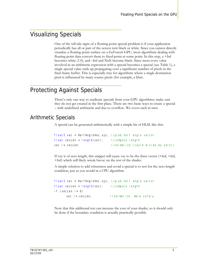# <span id="page-6-0"></span>Visualizing Specials

One of the tell-tale signs of a floating-point special problem is if your application periodically has all or part of the screen turn black or white. Since you cannot directly visualize a floating-point surface on a GeForce6 GPU, most algorithms dealing with floating-point data convert them to fixed-point at some point. In this step, a +Inf becomes white (1.0), and –Inf and NaN become black. Since most every value involved in an arithmetic expression with a special becomes a special (see Table 1), a single special value ends up propagating over a significant number of pixels in the final frame buffer. This is especially true for algorithms where a single destination pixel is influenced by many source pixels (for example, a blur).

# Protecting Against Specials

There's only one way to eradicate specials from your GPU algorithms: make sure they do not get created in the first place. There are two basic ways to create a special – with undefined arithmetic and due to overflow. We cover each in turn.

#### Arithmetic Specials

A special can be generated arithmetically with a simple bit of HLSL like this:

| float3 vec = HalfAngleVec.xyz; //grab half angle vector |                                     |
|---------------------------------------------------------|-------------------------------------|
| $fl$ oat vecLen = $l$ ength(vec); //compute $l$ ength   |                                     |
| $vec / = vecLen$                                        | //normalize (could divide by zero!) |

If vec is of zero length, this snippet will cause vec to be the three vector (+Inf, +Inf, +Inf) which will likely wreak havoc on the rest of the shader.

A simple solution to add robustness and avoid a special is to test for the zero-length condition, just as you would in a CPU algorithm:

| float3 vec = HalfAngleVec.xyz; //grab half angle vector                          |                          |
|----------------------------------------------------------------------------------|--------------------------|
| $\frac{f}{f}$ oat vecLen = $\frac{f}{f}$ = $\frac{f}{f}$ (vec); //compute length |                          |
| if (vecLen != 0)                                                                 |                          |
| $vec / = vecLen$                                                                 | //normalize, more safely |

Note that this additional test can increase the cost of your shader, so it should only be done if the boundary condition is actually practically possible.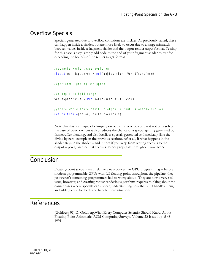#### <span id="page-7-0"></span>Overflow Specials

Specials generated due to overflow conditions are trickier. As previously stated, these can happen inside a shader, but are more likely to occur due to a range mismatch between values inside a fragment shader and the output render target format. Testing for this case is easy: simply add code to the end of your fragment shader to test for exceeding the bounds of the render target format:

```
//compute world-space position 
float3 worldSpacePos = mu (objPosition, WorldTransform);
//perform lighting <snipped> 
//clamp z to fp16 range 
worldSpacePos. z = min(n) dSpacePos. z, 65504);
//store world space depth in alpha, output is 4xfp16 surface 
return float4(color, worldSpacePos.z);
```
Note that this technique of clamping on output is very powerful– it not only solves the case of overflow, but it also reduces the chance of a special getting generated by framebuffer blending, and also localizes specials generated arithmetically (like the divide by zero example in the previous section). After all, if what happens in the shader stays in the shader – and it does if you keep from writing specials to the output – you guarantee that specials do not propagate throughout your scene.

### Conclusion

Floating-point specials are a relatively new concern in GPU programming -- before modern programmable GPUs with full floating-point throughout the pipeline, they just weren't something programmers had to worry about. They are now a very real issue, however, and creating robust rendering algorithms requires thinking about the corner cases where specials can appear, understanding how the GPU handles them, and adding code to check and handle these situations.

### References

[Goldberg 91] D. Goldberg,What Every Computer Scientist Should Know About Floating-Point Arithmetic, ACM Computing Surveys, Volume 23 Issue 1, p. 5-48, 1991